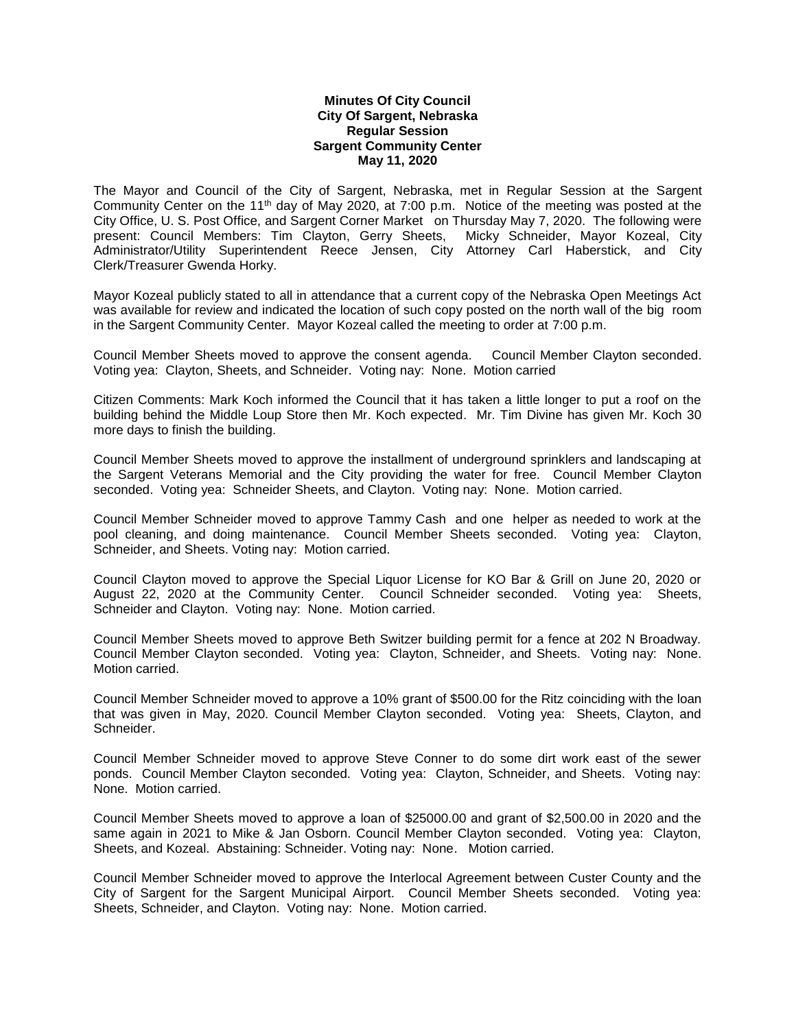## **Minutes Of City Council City Of Sargent, Nebraska Regular Session Sargent Community Center May 11, 2020**

The Mayor and Council of the City of Sargent, Nebraska, met in Regular Session at the Sargent Community Center on the 11<sup>th</sup> day of May 2020, at 7:00 p.m. Notice of the meeting was posted at the City Office, U. S. Post Office, and Sargent Corner Market on Thursday May 7, 2020. The following were present: Council Members: Tim Clayton, Gerry Sheets, Micky Schneider, Mayor Kozeal, City Administrator/Utility Superintendent Reece Jensen, City Attorney Carl Haberstick, and City Clerk/Treasurer Gwenda Horky.

Mayor Kozeal publicly stated to all in attendance that a current copy of the Nebraska Open Meetings Act was available for review and indicated the location of such copy posted on the north wall of the big room in the Sargent Community Center. Mayor Kozeal called the meeting to order at 7:00 p.m.

Council Member Sheets moved to approve the consent agenda. Council Member Clayton seconded. Voting yea: Clayton, Sheets, and Schneider. Voting nay: None. Motion carried

Citizen Comments: Mark Koch informed the Council that it has taken a little longer to put a roof on the building behind the Middle Loup Store then Mr. Koch expected. Mr. Tim Divine has given Mr. Koch 30 more days to finish the building.

Council Member Sheets moved to approve the installment of underground sprinklers and landscaping at the Sargent Veterans Memorial and the City providing the water for free. Council Member Clayton seconded. Voting yea: Schneider Sheets, and Clayton. Voting nay: None. Motion carried.

Council Member Schneider moved to approve Tammy Cash and one helper as needed to work at the pool cleaning, and doing maintenance. Council Member Sheets seconded. Voting yea: Clayton, Schneider, and Sheets. Voting nay: Motion carried.

Council Clayton moved to approve the Special Liquor License for KO Bar & Grill on June 20, 2020 or August 22, 2020 at the Community Center. Council Schneider seconded. Voting yea: Sheets, Schneider and Clayton. Voting nay: None. Motion carried.

Council Member Sheets moved to approve Beth Switzer building permit for a fence at 202 N Broadway. Council Member Clayton seconded. Voting yea: Clayton, Schneider, and Sheets. Voting nay: None. Motion carried.

Council Member Schneider moved to approve a 10% grant of \$500.00 for the Ritz coinciding with the loan that was given in May, 2020. Council Member Clayton seconded. Voting yea: Sheets, Clayton, and Schneider.

Council Member Schneider moved to approve Steve Conner to do some dirt work east of the sewer ponds. Council Member Clayton seconded. Voting yea: Clayton, Schneider, and Sheets. Voting nay: None. Motion carried.

Council Member Sheets moved to approve a loan of \$25000.00 and grant of \$2,500.00 in 2020 and the same again in 2021 to Mike & Jan Osborn. Council Member Clayton seconded. Voting yea: Clayton, Sheets, and Kozeal. Abstaining: Schneider. Voting nay: None. Motion carried.

Council Member Schneider moved to approve the Interlocal Agreement between Custer County and the City of Sargent for the Sargent Municipal Airport. Council Member Sheets seconded. Voting yea: Sheets, Schneider, and Clayton. Voting nay: None. Motion carried.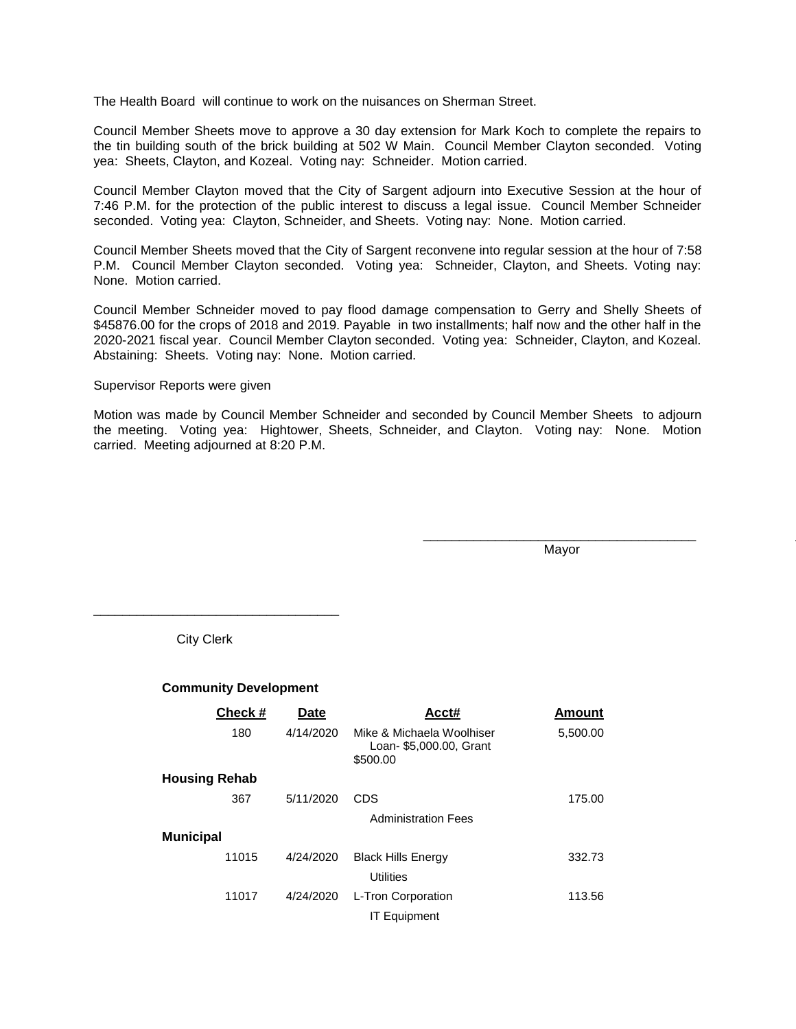The Health Board will continue to work on the nuisances on Sherman Street.

Council Member Sheets move to approve a 30 day extension for Mark Koch to complete the repairs to the tin building south of the brick building at 502 W Main. Council Member Clayton seconded. Voting yea: Sheets, Clayton, and Kozeal. Voting nay: Schneider. Motion carried.

Council Member Clayton moved that the City of Sargent adjourn into Executive Session at the hour of 7:46 P.M. for the protection of the public interest to discuss a legal issue. Council Member Schneider seconded. Voting yea: Clayton, Schneider, and Sheets. Voting nay: None. Motion carried.

Council Member Sheets moved that the City of Sargent reconvene into regular session at the hour of 7:58 P.M. Council Member Clayton seconded. Voting yea: Schneider, Clayton, and Sheets. Voting nay: None. Motion carried.

Council Member Schneider moved to pay flood damage compensation to Gerry and Shelly Sheets of \$45876.00 for the crops of 2018 and 2019. Payable in two installments; half now and the other half in the 2020-2021 fiscal year. Council Member Clayton seconded. Voting yea: Schneider, Clayton, and Kozeal. Abstaining: Sheets. Voting nay: None. Motion carried.

Supervisor Reports were given

Motion was made by Council Member Schneider and seconded by Council Member Sheets to adjourn the meeting. Voting yea: Hightower, Sheets, Schneider, and Clayton. Voting nay: None. Motion carried. Meeting adjourned at 8:20 P.M.

Mayor

\_\_\_\_\_\_\_\_\_\_\_\_\_\_\_\_\_\_\_\_\_\_\_\_\_\_\_\_\_\_\_\_\_\_\_\_\_\_ \_\_\_\_\_\_\_\_\_\_\_\_\_\_\_\_\_\_\_\_\_\_\_\_\_\_\_\_\_\_\_\_

City Clerk

\_\_\_\_\_\_\_\_\_\_\_\_\_\_\_\_\_\_\_\_\_\_\_\_\_\_\_\_\_\_\_\_\_\_

## **Community Development**

|                      | Check# | Date      | Acct#                                                            | Amount   |
|----------------------|--------|-----------|------------------------------------------------------------------|----------|
|                      | 180    | 4/14/2020 | Mike & Michaela Woolhiser<br>Loan- \$5,000.00, Grant<br>\$500.00 | 5,500.00 |
| <b>Housing Rehab</b> |        |           |                                                                  |          |
|                      | 367    | 5/11/2020 | CDS                                                              | 175.00   |
|                      |        |           | <b>Administration Fees</b>                                       |          |
| <b>Municipal</b>     |        |           |                                                                  |          |
|                      | 11015  | 4/24/2020 | <b>Black Hills Energy</b>                                        | 332.73   |
|                      |        |           | <b>Utilities</b>                                                 |          |
|                      | 11017  | 4/24/2020 | L-Tron Corporation                                               | 113.56   |
|                      |        |           | <b>IT Equipment</b>                                              |          |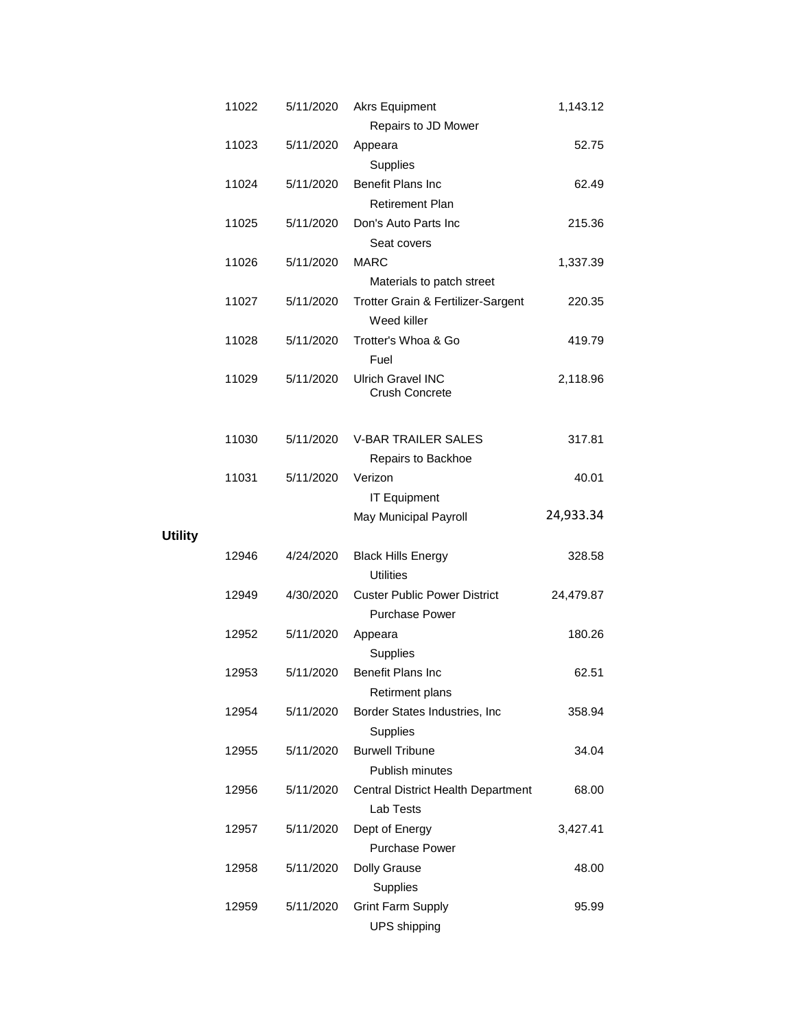| 11022 | 5/11/2020 | <b>Akrs Equipment</b>                             | 1,143.12  |
|-------|-----------|---------------------------------------------------|-----------|
|       |           | Repairs to JD Mower                               |           |
| 11023 | 5/11/2020 | Appeara                                           | 52.75     |
|       |           | Supplies                                          |           |
| 11024 | 5/11/2020 | Benefit Plans Inc                                 | 62.49     |
|       |           | <b>Retirement Plan</b>                            |           |
| 11025 | 5/11/2020 | Don's Auto Parts Inc                              | 215.36    |
|       |           | Seat covers                                       |           |
| 11026 | 5/11/2020 | <b>MARC</b>                                       | 1,337.39  |
|       |           | Materials to patch street                         |           |
| 11027 | 5/11/2020 | Trotter Grain & Fertilizer-Sargent<br>Weed killer | 220.35    |
| 11028 | 5/11/2020 | Trotter's Whoa & Go                               | 419.79    |
|       |           | Fuel                                              |           |
| 11029 | 5/11/2020 | <b>Ulrich Gravel INC</b>                          | 2,118.96  |
|       |           | Crush Concrete                                    |           |
|       |           |                                                   |           |
| 11030 |           | <b>V-BAR TRAILER SALES</b>                        |           |
|       | 5/11/2020 |                                                   | 317.81    |
|       |           | Repairs to Backhoe                                |           |
| 11031 | 5/11/2020 | Verizon                                           | 40.01     |
|       |           | <b>IT Equipment</b>                               | 24,933.34 |
|       |           | May Municipal Payroll                             |           |
| 12946 | 4/24/2020 | <b>Black Hills Energy</b>                         | 328.58    |
|       |           | <b>Utilities</b>                                  |           |
| 12949 | 4/30/2020 | <b>Custer Public Power District</b>               |           |
|       |           | <b>Purchase Power</b>                             | 24,479.87 |
| 12952 | 5/11/2020 | Appeara                                           | 180.26    |
|       |           | Supplies                                          |           |
| 12953 | 5/11/2020 | <b>Benefit Plans Inc</b>                          | 62.51     |
|       |           | Retirment plans                                   |           |
| 12954 | 5/11/2020 | Border States Industries, Inc                     |           |
|       |           |                                                   | 358.94    |
|       |           | Supplies<br><b>Burwell Tribune</b>                |           |
| 12955 | 5/11/2020 | Publish minutes                                   | 34.04     |
|       |           |                                                   |           |
| 12956 | 5/11/2020 | Central District Health Department                | 68.00     |
|       |           | Lab Tests                                         |           |
| 12957 | 5/11/2020 | Dept of Energy                                    | 3,427.41  |
|       |           | <b>Purchase Power</b>                             |           |
| 12958 | 5/11/2020 | <b>Dolly Grause</b>                               | 48.00     |
|       |           | Supplies                                          |           |
| 12959 | 5/11/2020 | <b>Grint Farm Supply</b>                          | 95.99     |
|       |           | <b>UPS</b> shipping                               |           |

**Utility**